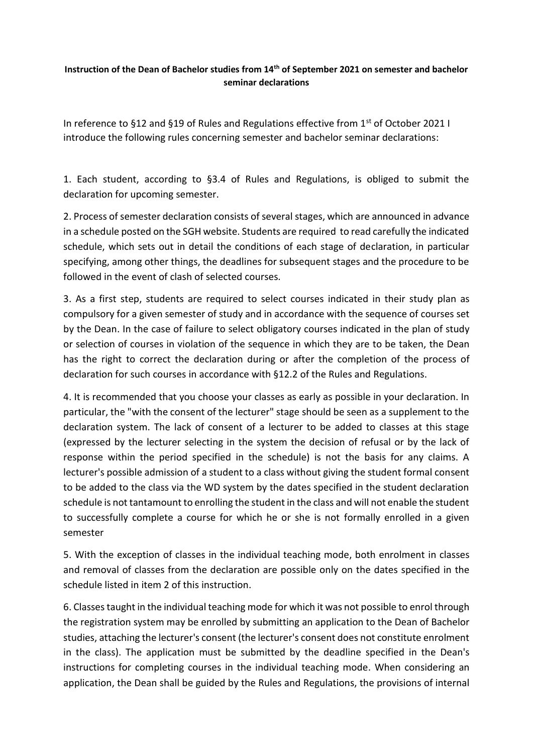## **Instruction of the Dean of Bachelor studies from 14th of September 2021 on semester and bachelor seminar declarations**

In reference to §12 and §19 of Rules and Regulations effective from  $1<sup>st</sup>$  of October 2021 I introduce the following rules concerning semester and bachelor seminar declarations:

1. Each student, according to §3.4 of Rules and Regulations, is obliged to submit the declaration for upcoming semester.

2. Process of semester declaration consists of several stages, which are announced in advance in a schedule posted on the SGH website. Students are required to read carefully the indicated schedule, which sets out in detail the conditions of each stage of declaration, in particular specifying, among other things, the deadlines for subsequent stages and the procedure to be followed in the event of clash of selected courses.

3. As a first step, students are required to select courses indicated in their study plan as compulsory for a given semester of study and in accordance with the sequence of courses set by the Dean. In the case of failure to select obligatory courses indicated in the plan of study or selection of courses in violation of the sequence in which they are to be taken, the Dean has the right to correct the declaration during or after the completion of the process of declaration for such courses in accordance with §12.2 of the Rules and Regulations.

4. It is recommended that you choose your classes as early as possible in your declaration. In particular, the "with the consent of the lecturer" stage should be seen as a supplement to the declaration system. The lack of consent of a lecturer to be added to classes at this stage (expressed by the lecturer selecting in the system the decision of refusal or by the lack of response within the period specified in the schedule) is not the basis for any claims. A lecturer's possible admission of a student to a class without giving the student formal consent to be added to the class via the WD system by the dates specified in the student declaration schedule is not tantamount to enrolling the student in the class and will not enable the student to successfully complete a course for which he or she is not formally enrolled in a given semester

5. With the exception of classes in the individual teaching mode, both enrolment in classes and removal of classes from the declaration are possible only on the dates specified in the schedule listed in item 2 of this instruction.

6. Classestaught in the individual teaching mode for which it was not possible to enrol through the registration system may be enrolled by submitting an application to the Dean of Bachelor studies, attaching the lecturer's consent (the lecturer's consent does not constitute enrolment in the class). The application must be submitted by the deadline specified in the Dean's instructions for completing courses in the individual teaching mode. When considering an application, the Dean shall be guided by the Rules and Regulations, the provisions of internal